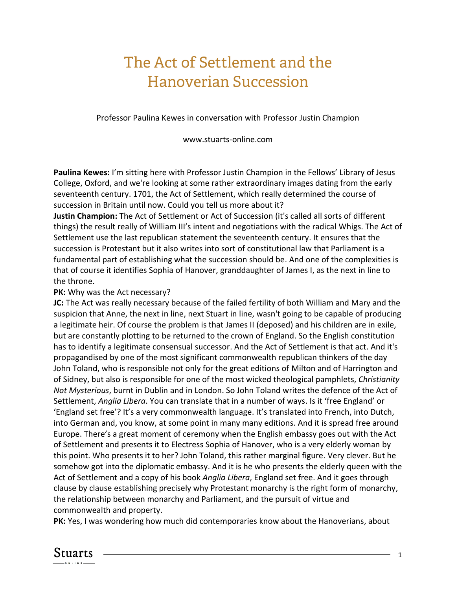## The Act of Settlement and the Hanoverian Succession

Professor Paulina Kewes in conversation with Professor Justin Champion

www.stuarts-online.com

**Paulina Kewes:** I'm sitting here with Professor Justin Champion in the Fellows' Library of Jesus College, Oxford, and we're looking at some rather extraordinary images dating from the early seventeenth century. 1701, the Act of Settlement, which really determined the course of succession in Britain until now. Could you tell us more about it?

**Justin Champion:** The Act of Settlement or Act of Succession (it's called all sorts of different things) the result really of William III's intent and negotiations with the radical Whigs. The Act of Settlement use the last republican statement the seventeenth century. It ensures that the succession is Protestant but it also writes into sort of constitutional law that Parliament is a fundamental part of establishing what the succession should be. And one of the complexities is that of course it identifies Sophia of Hanover, granddaughter of James I, as the next in line to the throne.

## **PK:** Why was the Act necessary?

**JC:** The Act was really necessary because of the failed fertility of both William and Mary and the suspicion that Anne, the next in line, next Stuart in line, wasn't going to be capable of producing a legitimate heir. Of course the problem is that James II (deposed) and his children are in exile, but are constantly plotting to be returned to the crown of England. So the English constitution has to identify a legitimate consensual successor. And the Act of Settlement is that act. And it's propagandised by one of the most significant commonwealth republican thinkers of the day John Toland, who is responsible not only for the great editions of Milton and of Harrington and of Sidney, but also is responsible for one of the most wicked theological pamphlets, *Christianity Not Mysterious*, burnt in Dublin and in London. So John Toland writes the defence of the Act of Settlement, *Anglia Libera*. You can translate that in a number of ways. Is it 'free England' or 'England set free'? It's a very commonwealth language. It's translated into French, into Dutch, into German and, you know, at some point in many many editions. And it is spread free around Europe. There's a great moment of ceremony when the English embassy goes out with the Act of Settlement and presents it to Electress Sophia of Hanover, who is a very elderly woman by this point. Who presents it to her? John Toland, this rather marginal figure. Very clever. But he somehow got into the diplomatic embassy. And it is he who presents the elderly queen with the Act of Settlement and a copy of his book *Anglia Libera*, England set free. And it goes through clause by clause establishing precisely why Protestant monarchy is the right form of monarchy, the relationship between monarchy and Parliament, and the pursuit of virtue and commonwealth and property.

**PK:** Yes, I was wondering how much did contemporaries know about the Hanoverians, about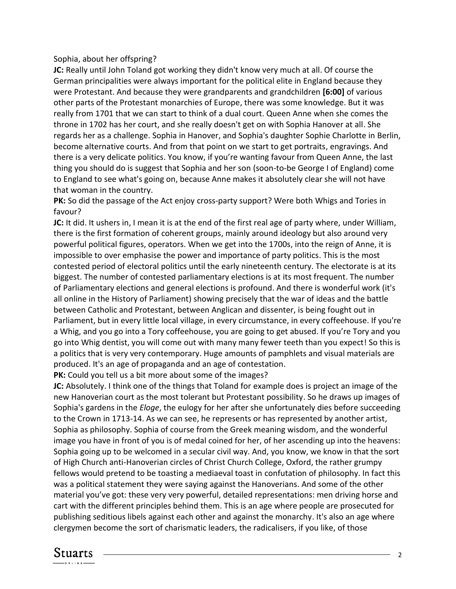## Sophia, about her offspring?

**JC:** Really until John Toland got working they didn't know very much at all. Of course the German principalities were always important for the political elite in England because they were Protestant. And because they were grandparents and grandchildren **[6:00]** of various other parts of the Protestant monarchies of Europe, there was some knowledge. But it was really from 1701 that we can start to think of a dual court. Queen Anne when she comes the throne in 1702 has her court, and she really doesn't get on with Sophia Hanover at all. She regards her as a challenge. Sophia in Hanover, and Sophia's daughter Sophie Charlotte in Berlin, become alternative courts. And from that point on we start to get portraits, engravings. And there is a very delicate politics. You know, if you're wanting favour from Queen Anne, the last thing you should do is suggest that Sophia and her son (soon-to-be George I of England) come to England to see what's going on, because Anne makes it absolutely clear she will not have that woman in the country.

**PK:** So did the passage of the Act enjoy cross-party support? Were both Whigs and Tories in favour?

**JC:** It did. It ushers in, I mean it is at the end of the first real age of party where, under William, there is the first formation of coherent groups, mainly around ideology but also around very powerful political figures, operators. When we get into the 1700s, into the reign of Anne, it is impossible to over emphasise the power and importance of party politics. This is the most contested period of electoral politics until the early nineteenth century. The electorate is at its biggest. The number of contested parliamentary elections is at its most frequent. The number of Parliamentary elections and general elections is profound. And there is wonderful work (it's all online in the History of Parliament) showing precisely that the war of ideas and the battle between Catholic and Protestant, between Anglican and dissenter, is being fought out in Parliament, but in every little local village, in every circumstance, in every coffeehouse. If you're a Whig, and you go into a Tory coffeehouse, you are going to get abused. If you're Tory and you go into Whig dentist, you will come out with many many fewer teeth than you expect! So this is a politics that is very very contemporary. Huge amounts of pamphlets and visual materials are produced. It's an age of propaganda and an age of contestation.

**PK:** Could you tell us a bit more about some of the images?

**JC:** Absolutely. I think one of the things that Toland for example does is project an image of the new Hanoverian court as the most tolerant but Protestant possibility. So he draws up images of Sophia's gardens in the *Eloge*, the eulogy for her after she unfortunately dies before succeeding to the Crown in 1713-14. As we can see, he represents or has represented by another artist, Sophia as philosophy. Sophia of course from the Greek meaning wisdom, and the wonderful image you have in front of you is of medal coined for her, of her ascending up into the heavens: Sophia going up to be welcomed in a secular civil way. And, you know, we know in that the sort of High Church anti-Hanoverian circles of Christ Church College, Oxford, the rather grumpy fellows would pretend to be toasting a mediaeval toast in confutation of philosophy. In fact this was a political statement they were saying against the Hanoverians. And some of the other material you've got: these very very powerful, detailed representations: men driving horse and cart with the different principles behind them. This is an age where people are prosecuted for publishing seditious libels against each other and against the monarchy. It's also an age where clergymen become the sort of charismatic leaders, the radicalisers, if you like, of those

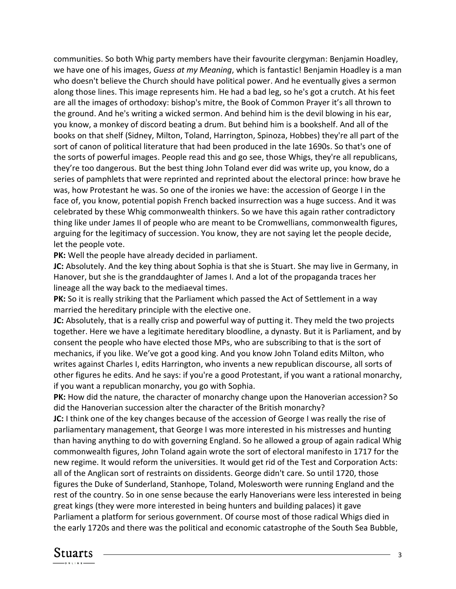communities. So both Whig party members have their favourite clergyman: Benjamin Hoadley, we have one of his images, *Guess at my Meaning*, which is fantastic! Benjamin Hoadley is a man who doesn't believe the Church should have political power. And he eventually gives a sermon along those lines. This image represents him. He had a bad leg, so he's got a crutch. At his feet are all the images of orthodoxy: bishop's mitre, the Book of Common Prayer it's all thrown to the ground. And he's writing a wicked sermon. And behind him is the devil blowing in his ear, you know, a monkey of discord beating a drum. But behind him is a bookshelf. And all of the books on that shelf (Sidney, Milton, Toland, Harrington, Spinoza, Hobbes) they're all part of the sort of canon of political literature that had been produced in the late 1690s. So that's one of the sorts of powerful images. People read this and go see, those Whigs, they're all republicans, they're too dangerous. But the best thing John Toland ever did was write up, you know, do a series of pamphlets that were reprinted and reprinted about the electoral prince: how brave he was, how Protestant he was. So one of the ironies we have: the accession of George I in the face of, you know, potential popish French backed insurrection was a huge success. And it was celebrated by these Whig commonwealth thinkers. So we have this again rather contradictory thing like under James II of people who are meant to be Cromwellians, commonwealth figures, arguing for the legitimacy of succession. You know, they are not saying let the people decide, let the people vote.

**PK:** Well the people have already decided in parliament.

**JC:** Absolutely. And the key thing about Sophia is that she is Stuart. She may live in Germany, in Hanover, but she is the granddaughter of James I. And a lot of the propaganda traces her lineage all the way back to the mediaeval times.

**PK:** So it is really striking that the Parliament which passed the Act of Settlement in a way married the hereditary principle with the elective one.

**JC:** Absolutely, that is a really crisp and powerful way of putting it. They meld the two projects together. Here we have a legitimate hereditary bloodline, a dynasty. But it is Parliament, and by consent the people who have elected those MPs, who are subscribing to that is the sort of mechanics, if you like. We've got a good king. And you know John Toland edits Milton, who writes against Charles I, edits Harrington, who invents a new republican discourse, all sorts of other figures he edits. And he says: if you're a good Protestant, if you want a rational monarchy, if you want a republican monarchy, you go with Sophia.

**PK:** How did the nature, the character of monarchy change upon the Hanoverian accession? So did the Hanoverian succession alter the character of the British monarchy?

**JC:** I think one of the key changes because of the accession of George I was really the rise of parliamentary management, that George I was more interested in his mistresses and hunting than having anything to do with governing England. So he allowed a group of again radical Whig commonwealth figures, John Toland again wrote the sort of electoral manifesto in 1717 for the new regime. It would reform the universities. It would get rid of the Test and Corporation Acts: all of the Anglican sort of restraints on dissidents. George didn't care. So until 1720, those figures the Duke of Sunderland, Stanhope, Toland, Molesworth were running England and the rest of the country. So in one sense because the early Hanoverians were less interested in being great kings (they were more interested in being hunters and building palaces) it gave Parliament a platform for serious government. Of course most of those radical Whigs died in the early 1720s and there was the political and economic catastrophe of the South Sea Bubble,